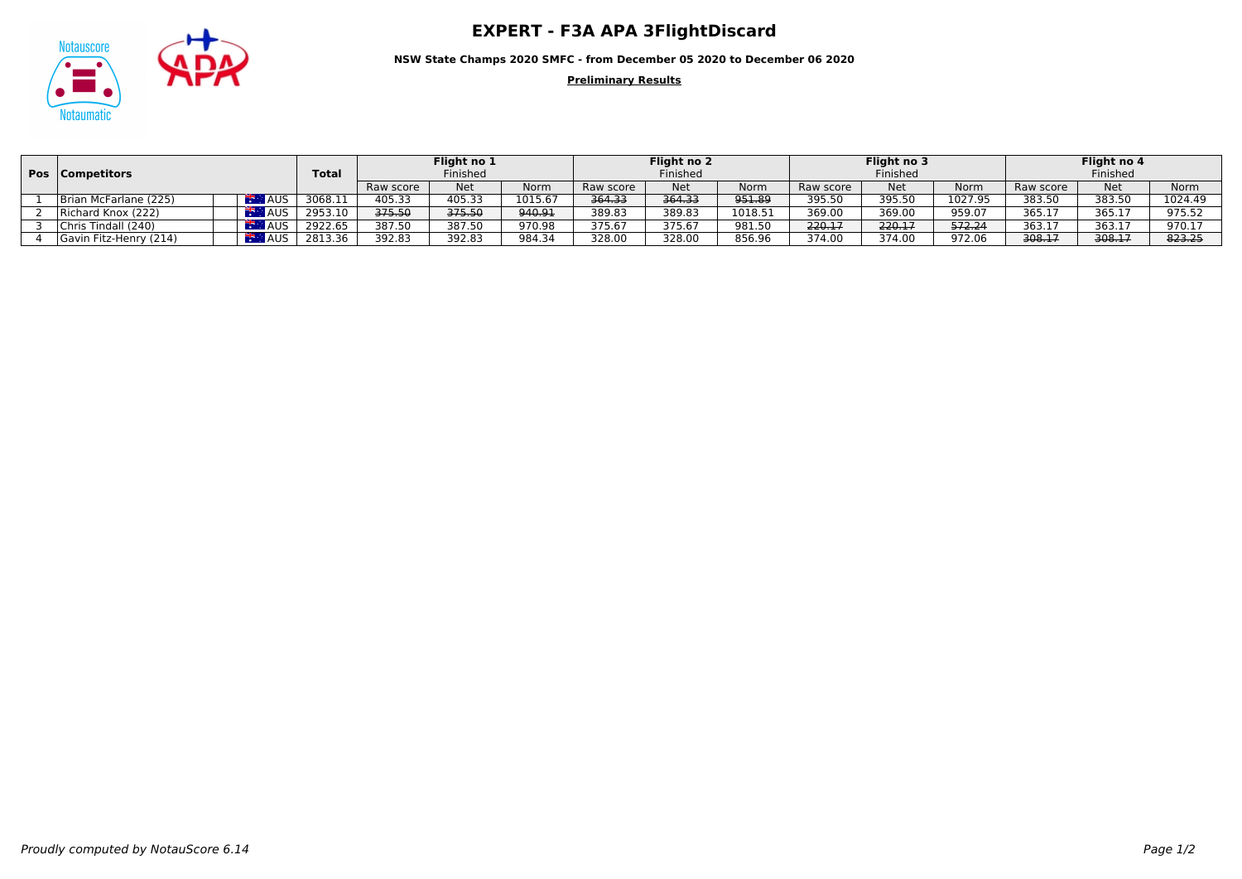## Notauscore **CONTRET - F3A APA 3FlightDiscard**



**NSW State Champs 2020 SMFC - from December 05 2020 to December 06 2020**

**Preliminary Results**

|  | <b>Pos</b>   Competitors |            |              | Flight no 1<br>Finished |            |         | Flight no 2 |            |             | Flight no 3 |            |         | Flight no 4 |            |         |
|--|--------------------------|------------|--------------|-------------------------|------------|---------|-------------|------------|-------------|-------------|------------|---------|-------------|------------|---------|
|  |                          |            | <b>Total</b> |                         |            |         | Finished    |            |             | Finished    |            |         | Finished    |            |         |
|  |                          |            |              | Raw score               | <b>Net</b> | Norm    | Raw score   | <b>Net</b> | <b>Norm</b> | Raw score   | <b>Net</b> | Norm    | Raw score   | <b>Net</b> | Norm    |
|  | Brian McFarlane (225)    | <b>AUS</b> | 3068.11      | 405.33                  | 405.33     | 1015.67 | 364.33      | 364.33     | 951.89      | 395.50      | 395.50     | 1027.95 | 383.50      | 383.50     | 1024.49 |
|  | Richard Knox (222)       | <b>AUS</b> | 2953.10      | 375.50                  | 375.50     | 940.91  | 389.83      | 389.83     | 1018.51     | 369.00      | 369.00     | 959.07  | 365.17      | 365.17     | 975.52  |
|  | Chris Tindall (240)      | AUS.       | 2922.65      | 387.50                  | 387.50     | 970.98  | 375.67      | 375.67     | 981.50      | 220.17      | 220.17     | 572.24  | 363.17      | 363.17     | 970.17  |
|  | Gavin Fitz-Henry (214)   | AUS.       | 2813.36      | 392.83                  | 392.83     | 984.34  | 328.00      | 328.00     | 856.96      | 374.00      | 374.00     | 972.06  | 308.17      | 308.17     | 823.25  |